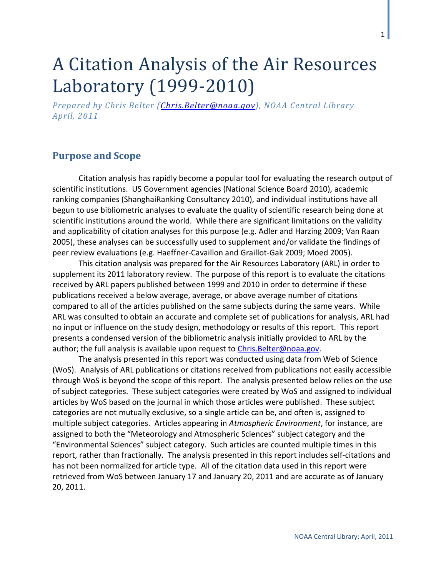# A Citation Analysis of the Air Resources Laboratory (1999-2010)

*Prepared by Chris Belter [\(Chris.Belter@noaa.gov\)](mailto:Chris.Belter@noaa.gov), NOAA Central Library April, 2011*

### **Purpose and Scope**

Citation analysis has rapidly become a popular tool for evaluating the research output of scientific institutions. US Government agencies [\(National Science Board 2010\)](#page-4-0), academic ranking companies [\(ShanghaiRanking Consultancy 2010\)](#page-4-1), and individual institutions have all begun to use bibliometric analyses to evaluate the quality of scientific research being done at scientific institutions around the world. While there are significant limitations on the validity and applicability of citation analyses for this purpose (e.g. Adler and [Harzing 2009;](#page-4-2) [Van Raan](#page-4-3)  [2005\)](#page-4-3), these analyses can be successfully used to supplement and/or validate the findings of peer review evaluations (e.g. [Haeffner-Cavaillon and Graillot-Gak 2009;](#page-4-4) [Moed 2005\)](#page-4-5).

This citation analysis was prepared for the Air Resources Laboratory (ARL) in order to supplement its 2011 laboratory review. The purpose of this report is to evaluate the citations received by ARL papers published between 1999 and 2010 in order to determine if these publications received a below average, average, or above average number of citations compared to all of the articles published on the same subjects during the same years. While ARL was consulted to obtain an accurate and complete set of publications for analysis, ARL had no input or influence on the study design, methodology or results of this report. This report presents a condensed version of the bibliometric analysis initially provided to ARL by the author; the full analysis is available upon request to Chris. Belter@noaa.gov.

The analysis presented in this report was conducted using data from Web of Science (WoS). Analysis of ARL publications or citations received from publications not easily accessible through WoS is beyond the scope of this report. The analysis presented below relies on the use of subject categories. These subject categories were created by WoS and assigned to individual articles by WoS based on the journal in which those articles were published. These subject categories are not mutually exclusive, so a single article can be, and often is, assigned to multiple subject categories. Articles appearing in *Atmospheric Environment*, for instance, are assigned to both the "Meteorology and Atmospheric Sciences" subject category and the "Environmental Sciences" subject category. Such articles are counted multiple times in this report, rather than fractionally. The analysis presented in this report includes self-citations and has not been normalized for article type. All of the citation data used in this report were retrieved from WoS between January 17 and January 20, 2011 and are accurate as of January 20, 2011.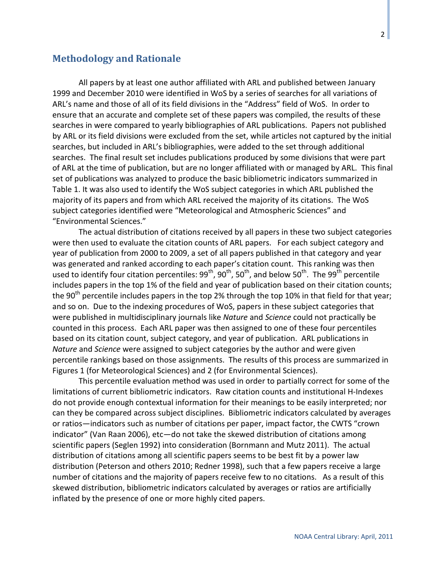#### **Methodology and Rationale**

All papers by at least one author affiliated with ARL and published between January 1999 and December 2010 were identified in WoS by a series of searches for all variations of ARL's name and those of all of its field divisions in the "Address" field of WoS. In order to ensure that an accurate and complete set of these papers was compiled, the results of these searches in were compared to yearly bibliographies of ARL publications. Papers not published by ARL or its field divisions were excluded from the set, while articles not captured by the initial searches, but included in ARL's bibliographies, were added to the set through additional searches. The final result set includes publications produced by some divisions that were part of ARL at the time of publication, but are no longer affiliated with or managed by ARL. This final set of publications was analyzed to produce the basic bibliometric indicators summarized in Table 1. It was also used to identify the WoS subject categories in which ARL published the majority of its papers and from which ARL received the majority of its citations. The WoS subject categories identified were "Meteorological and Atmospheric Sciences" and "Environmental Sciences."

The actual distribution of citations received by all papers in these two subject categories were then used to evaluate the citation counts of ARL papers. For each subject category and year of publication from 2000 to 2009, a set of all papers published in that category and year was generated and ranked according to each paper's citation count. This ranking was then used to identify four citation percentiles:  $99^{th}$ ,  $90^{th}$ ,  $50^{th}$ , and below  $50^{th}$ . The  $99^{th}$  percentile includes papers in the top 1% of the field and year of publication based on their citation counts; the 90<sup>th</sup> percentile includes papers in the top 2% through the top 10% in that field for that year; and so on. Due to the indexing procedures of WoS, papers in these subject categories that were published in multidisciplinary journals like *Nature* and *Science* could not practically be counted in this process. Each ARL paper was then assigned to one of these four percentiles based on its citation count, subject category, and year of publication. ARL publications in *Nature* and *Science* were assigned to subject categories by the author and were given percentile rankings based on those assignments. The results of this process are summarized in Figures 1 (for Meteorological Sciences) and 2 (for Environmental Sciences).

This percentile evaluation method was used in order to partially correct for some of the limitations of current bibliometric indicators. Raw citation counts and institutional H-Indexes do not provide enough contextual information for their meanings to be easily interpreted; nor can they be compared across subject disciplines. Bibliometric indicators calculated by averages or ratios—indicators such as number of citations per paper, impact factor, the CWTS "crown indicator" [\(Van Raan 2006\)](#page-4-6), etc—do not take the skewed distribution of citations among scientific papers [\(Seglen 1992\)](#page-4-7) into consideration [\(Bornmann and Mutz 2011\)](#page-4-8). The actual distribution of citations among all scientific papers seems to be best fit by a power law distribution [\(Peterson and others 2010;](#page-4-9) [Redner 1998\)](#page-4-10), such that a few papers receive a large number of citations and the majority of papers receive few to no citations. As a result of this skewed distribution, bibliometric indicators calculated by averages or ratios are artificially inflated by the presence of one or more highly cited papers.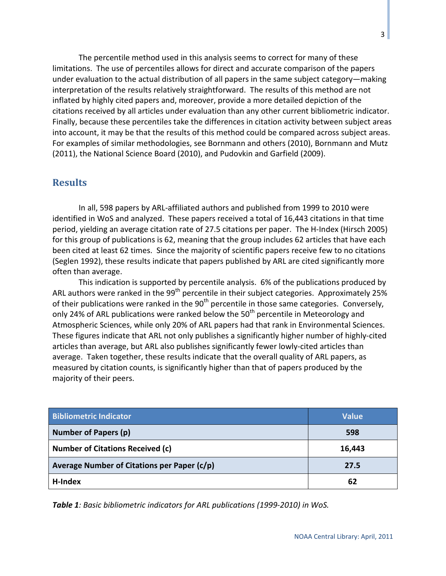The percentile method used in this analysis seems to correct for many of these limitations. The use of percentiles allows for direct and accurate comparison of the papers under evaluation to the actual distribution of all papers in the same subject category—making interpretation of the results relatively straightforward. The results of this method are not inflated by highly cited papers and, moreover, provide a more detailed depiction of the citations received by all articles under evaluation than any other current bibliometric indicator. Finally, because these percentiles take the differences in citation activity between subject areas into account, it may be that the results of this method could be compared across subject areas. For examples of similar methodologies, see Bornmann and others [\(2010\)](#page-4-11), Bornmann and Mutz [\(2011\)](#page-4-8), the National Science Board [\(2010\)](#page-4-0), and Pudovkin and Garfield [\(2009\)](#page-4-12).

#### **Results**

In all, 598 papers by ARL-affiliated authors and published from 1999 to 2010 were identified in WoS and analyzed. These papers received a total of 16,443 citations in that time period, yielding an average citation rate of 27.5 citations per paper. The H-Index [\(Hirsch 2005\)](#page-4-13) for this group of publications is 62, meaning that the group includes 62 articles that have each been cited at least 62 times. Since the majority of scientific papers receive few to no citations [\(Seglen 1992\)](#page-4-7), these results indicate that papers published by ARL are cited significantly more often than average.

This indication is supported by percentile analysis. 6% of the publications produced by ARL authors were ranked in the 99<sup>th</sup> percentile in their subject categories. Approximately 25% of their publications were ranked in the  $90<sup>th</sup>$  percentile in those same categories. Conversely, only 24% of ARL publications were ranked below the  $50<sup>th</sup>$  percentile in Meteorology and Atmospheric Sciences, while only 20% of ARL papers had that rank in Environmental Sciences. These figures indicate that ARL not only publishes a significantly higher number of highly-cited articles than average, but ARL also publishes significantly fewer lowly-cited articles than average. Taken together, these results indicate that the overall quality of ARL papers, as measured by citation counts, is significantly higher than that of papers produced by the majority of their peers.

| <b>Bibliometric Indicator</b>               | <b>Value</b> |
|---------------------------------------------|--------------|
| <b>Number of Papers (p)</b>                 | 598          |
| <b>Number of Citations Received (c)</b>     | 16,443       |
| Average Number of Citations per Paper (c/p) | 27.5         |
| H-Index                                     | 62           |

*Table 1: Basic bibliometric indicators for ARL publications (1999-2010) in WoS.*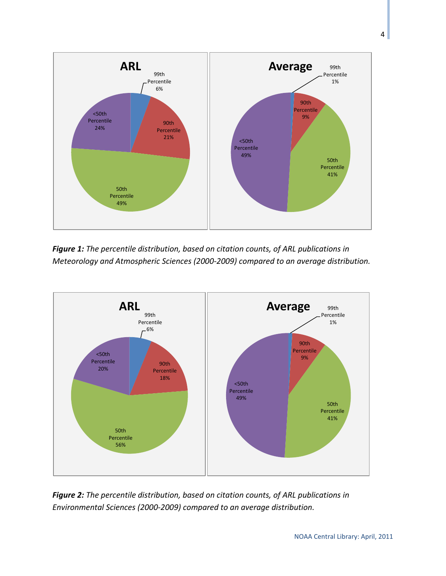

*Figure 1: The percentile distribution, based on citation counts, of ARL publications in Meteorology and Atmospheric Sciences (2000-2009) compared to an average distribution.*



*Figure 2: The percentile distribution, based on citation counts, of ARL publications in Environmental Sciences (2000-2009) compared to an average distribution.*

4